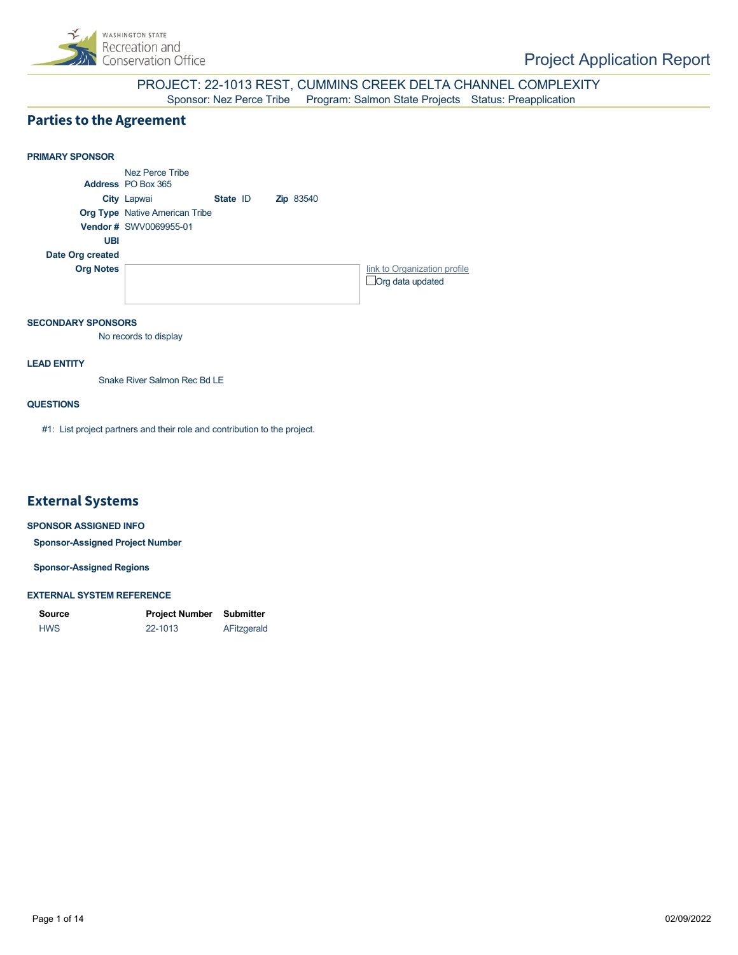

### PROJECT: 22-1013 REST, CUMMINS CREEK DELTA CHANNEL COMPLEXITY Sponsor: Nez Perce Tribe Program: Salmon State Projects Status: Preapplication

### **Parties to the Agreement**



#### **SECONDARY SPONSORS**

No records to display

#### **LEAD ENTITY**

Snake River Salmon Rec Bd LE

#### **QUESTIONS**

#1: List project partners and their role and contribution to the project.

### **External Systems**

#### **SPONSOR ASSIGNED INFO**

**Sponsor-Assigned Project Number**

**Sponsor-Assigned Regions**

#### **EXTERNAL SYSTEM REFERENCE**

| <b>Source</b> | Project Number | Submitter   |
|---------------|----------------|-------------|
| <b>HWS</b>    | 22-1013        | AFitzgerald |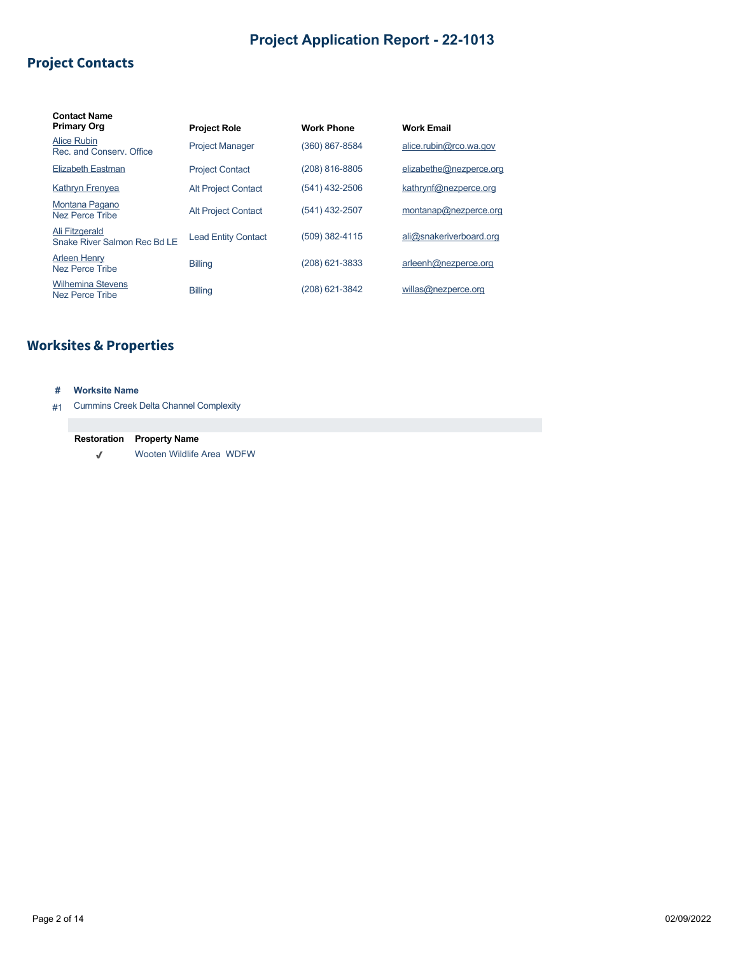# **Project Contacts**

| <b>Contact Name</b><br><b>Primary Org</b>      | <b>Project Role</b>        | <b>Work Phone</b> | <b>Work Email</b>       |
|------------------------------------------------|----------------------------|-------------------|-------------------------|
| Alice Rubin<br>Rec. and Conserv. Office        | <b>Project Manager</b>     | (360) 867-8584    | alice.rubin@rco.wa.gov  |
| <b>Elizabeth Eastman</b>                       | <b>Project Contact</b>     | (208) 816-8805    | elizabethe@nezperce.org |
| <b>Kathryn Frenyea</b>                         | <b>Alt Project Contact</b> | (541) 432-2506    | kathrynf@nezperce.org   |
| Montana Pagano<br>Nez Perce Tribe              | <b>Alt Project Contact</b> | (541) 432-2507    | montanap@nezperce.org   |
| Ali Fitzgerald<br>Snake River Salmon Rec Bd LE | <b>Lead Entity Contact</b> | (509) 382-4115    | ali@snakeriverboard.org |
| <b>Arleen Henry</b><br>Nez Perce Tribe         | <b>Billing</b>             | (208) 621-3833    | arleenh@nezperce.org    |
| <b>Wilhemina Stevens</b><br>Nez Perce Tribe    | <b>Billing</b>             | (208) 621-3842    | willas@nezperce.org     |

# **Worksites & Properties**

### **# Worksite Name**

#1 Cummins Creek Delta Channel Complexity

### **Restoration Property Name**

Wooten Wildlife Area WDFW  $\checkmark$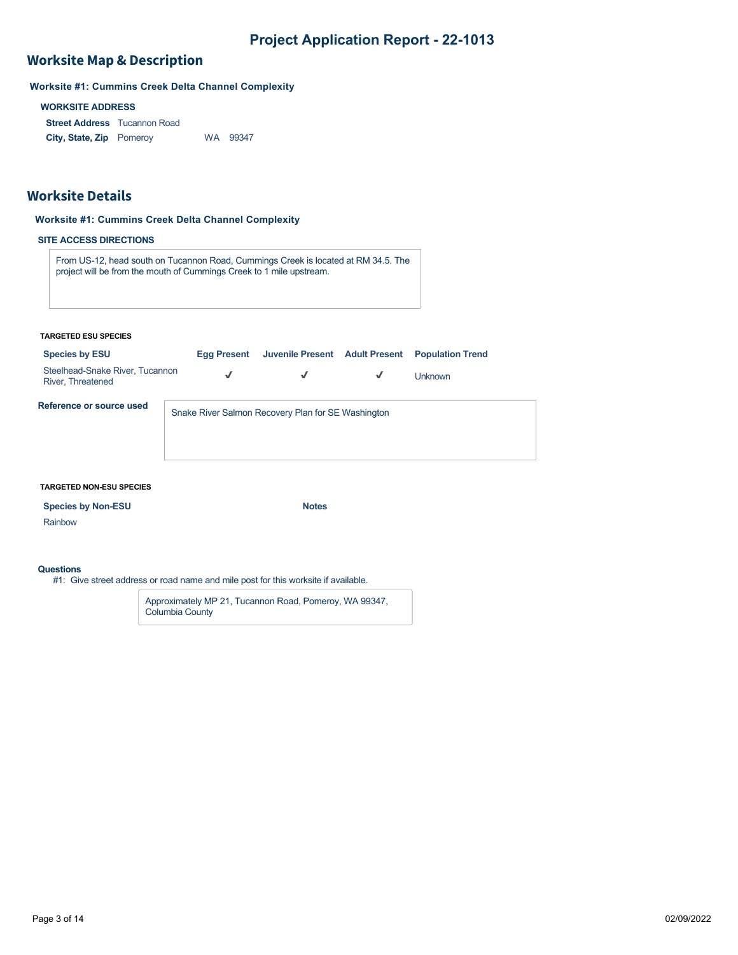# **Worksite Map & Description**

**Worksite #1: Cummins Creek Delta Channel Complexity**

### **WORKSITE ADDRESS**

**Street Address** Tucannon Road **City, State, Zip** WA 99347

### **Worksite Details**

#### **Worksite #1: Cummins Creek Delta Channel Complexity**

### **SITE ACCESS DIRECTIONS**

From US-12, head south on Tucannon Road, Cummings Creek is located at RM 34.5. The project will be from the mouth of Cummings Creek to 1 mile upstream.

#### **TARGETED ESU SPECIES**

| <b>Species by ESU</b>                                | <b>Egg Present</b> | Juvenile Present Adult Present                     |              | <b>Population Trend</b> |
|------------------------------------------------------|--------------------|----------------------------------------------------|--------------|-------------------------|
| Steelhead-Snake River, Tucannon<br>River, Threatened | √                  | √                                                  | $\checkmark$ | <b>Unknown</b>          |
| Reference or source used                             |                    | Snake River Salmon Recovery Plan for SE Washington |              |                         |

#### **TARGETED NON-ESU SPECIES**

| <b>Species by Non-ESU</b> | <b>Notes</b> |
|---------------------------|--------------|
|---------------------------|--------------|

Rainbow

#### **Questions**

#1: Give street address or road name and mile post for this worksite if available.

Approximately MP 21, Tucannon Road, Pomeroy, WA 99347, Columbia County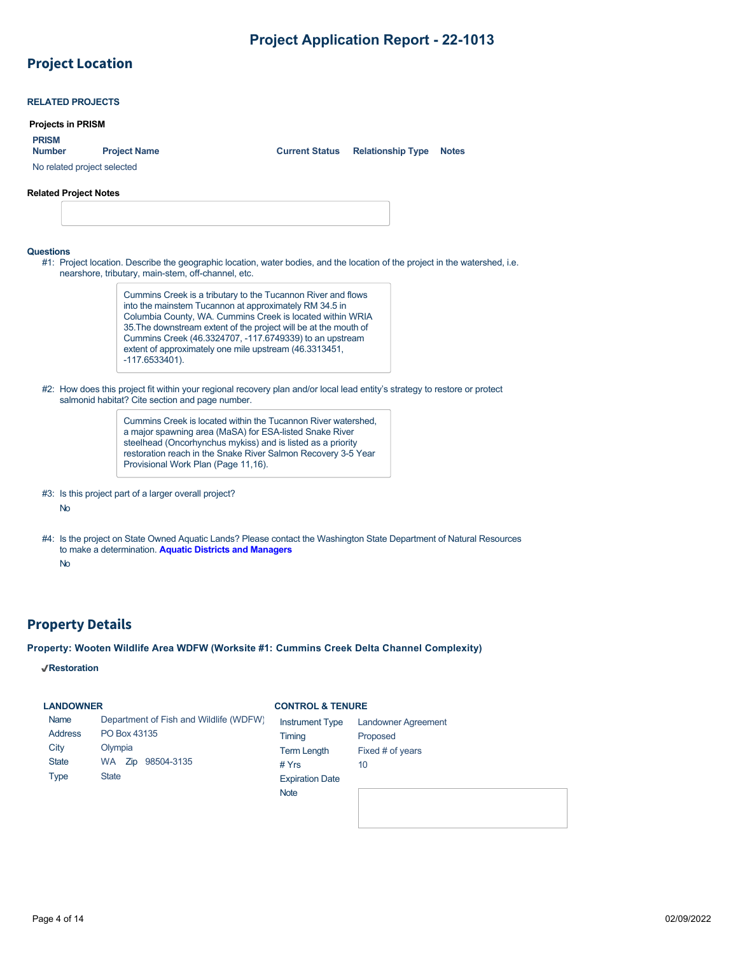# **Project Location**

|                              | <b>Projects in PRISM</b>                                                                                                                                                      |                                                                                                                          |                                          |
|------------------------------|-------------------------------------------------------------------------------------------------------------------------------------------------------------------------------|--------------------------------------------------------------------------------------------------------------------------|------------------------------------------|
| <b>PRISM</b>                 |                                                                                                                                                                               |                                                                                                                          |                                          |
| <b>Number</b>                | <b>Project Name</b>                                                                                                                                                           | <b>Current Status</b>                                                                                                    | <b>Relationship Type</b><br><b>Notes</b> |
| No related project selected  |                                                                                                                                                                               |                                                                                                                          |                                          |
| <b>Related Project Notes</b> |                                                                                                                                                                               |                                                                                                                          |                                          |
|                              |                                                                                                                                                                               |                                                                                                                          |                                          |
|                              |                                                                                                                                                                               |                                                                                                                          |                                          |
| <b>Questions</b>             |                                                                                                                                                                               |                                                                                                                          |                                          |
|                              | #1: Project location. Describe the geographic location, water bodies, and the location of the project in the watershed, i.e.                                                  |                                                                                                                          |                                          |
|                              | nearshore, tributary, main-stem, off-channel, etc.                                                                                                                            |                                                                                                                          |                                          |
|                              |                                                                                                                                                                               | Cummins Creek is a tributary to the Tucannon River and flows                                                             |                                          |
|                              |                                                                                                                                                                               | into the mainstem Tucannon at approximately RM 34.5 in<br>Columbia County, WA. Cummins Creek is located within WRIA      |                                          |
|                              |                                                                                                                                                                               | 35. The downstream extent of the project will be at the mouth of                                                         |                                          |
|                              |                                                                                                                                                                               | Cummins Creek (46.3324707, -117.6749339) to an upstream                                                                  |                                          |
|                              |                                                                                                                                                                               | extent of approximately one mile upstream (46.3313451,                                                                   |                                          |
|                              | $-117.6533401$ ).                                                                                                                                                             |                                                                                                                          |                                          |
|                              |                                                                                                                                                                               |                                                                                                                          |                                          |
|                              | #2: How does this project fit within your regional recovery plan and/or local lead entity's strategy to restore or protect<br>salmonid habitat? Cite section and page number. |                                                                                                                          |                                          |
|                              |                                                                                                                                                                               |                                                                                                                          |                                          |
|                              |                                                                                                                                                                               | Cummins Creek is located within the Tucannon River watershed.<br>a major spawning area (MaSA) for ESA-listed Snake River |                                          |
|                              |                                                                                                                                                                               | steelhead (Oncorhynchus mykiss) and is listed as a priority                                                              |                                          |
|                              | Provisional Work Plan (Page 11,16).                                                                                                                                           | restoration reach in the Snake River Salmon Recovery 3-5 Year                                                            |                                          |

#4: Is the project on State Owned Aquatic Lands? Please contact the Washington State Department of Natural Resources to make a determination. **[Aquatic Districts and Managers](https://www.dnr.wa.gov/programs-and-services/aquatics/aquatic-districts-and-land-managers-map)**

No

### **Property Details**

### **Property: Wooten Wildlife Area WDFW (Worksite #1: Cummins Creek Delta Channel Complexity)**

**Restoration**

### **LANDOWNER**

#### **CONTROL & TENURE**

| Name           | Department of Fish and Wildlife (WDFW) | <b>Instrument Type</b> | <b>Landowner Agreement</b> |
|----------------|----------------------------------------|------------------------|----------------------------|
| <b>Address</b> | PO Box 43135                           | Timing                 | Proposed                   |
| City           | Olympia                                | <b>Term Length</b>     | Fixed # of years           |
| <b>State</b>   | 98504-3135<br>WA Zip                   | # $Yrs$                | 10                         |
| <b>Type</b>    | <b>State</b>                           | <b>Expiration Date</b> |                            |
|                |                                        | <b>Note</b>            |                            |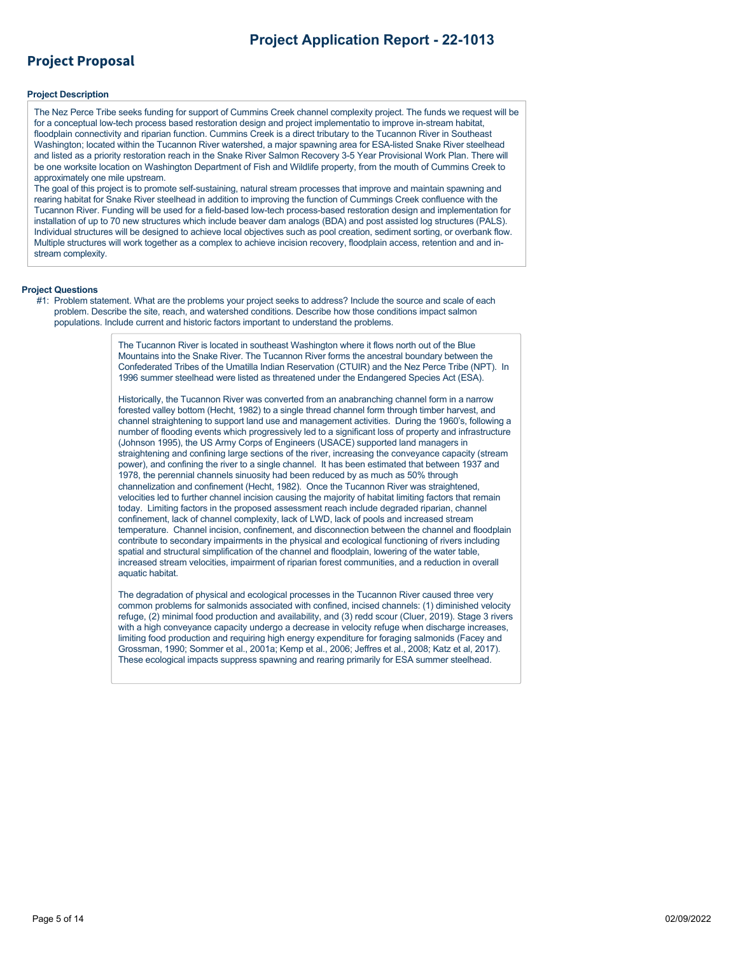## **Project Proposal**

#### **Project Description**

The Nez Perce Tribe seeks funding for support of Cummins Creek channel complexity project. The funds we request will be for a conceptual low-tech process based restoration design and project implementatio to improve in-stream habitat, floodplain connectivity and riparian function. Cummins Creek is a direct tributary to the Tucannon River in Southeast Washington; located within the Tucannon River watershed, a major spawning area for ESA-listed Snake River steelhead and listed as a priority restoration reach in the Snake River Salmon Recovery 3-5 Year Provisional Work Plan. There will be one worksite location on Washington Department of Fish and Wildlife property, from the mouth of Cummins Creek to approximately one mile upstream.

The goal of this project is to promote self-sustaining, natural stream processes that improve and maintain spawning and rearing habitat for Snake River steelhead in addition to improving the function of Cummings Creek confluence with the Tucannon River. Funding will be used for a field-based low-tech process-based restoration design and implementation for installation of up to 70 new structures which include beaver dam analogs (BDA) and post assisted log structures (PALS). Individual structures will be designed to achieve local objectives such as pool creation, sediment sorting, or overbank flow. Multiple structures will work together as a complex to achieve incision recovery, floodplain access, retention and and instream complexity.

#### **Project Questions**

#1: Problem statement. What are the problems your project seeks to address? Include the source and scale of each problem. Describe the site, reach, and watershed conditions. Describe how those conditions impact salmon populations. Include current and historic factors important to understand the problems.

> The Tucannon River is located in southeast Washington where it flows north out of the Blue Mountains into the Snake River. The Tucannon River forms the ancestral boundary between the Confederated Tribes of the Umatilla Indian Reservation (CTUIR) and the Nez Perce Tribe (NPT). In 1996 summer steelhead were listed as threatened under the Endangered Species Act (ESA).

Historically, the Tucannon River was converted from an anabranching channel form in a narrow forested valley bottom (Hecht, 1982) to a single thread channel form through timber harvest, and channel straightening to support land use and management activities. During the 1960's, following a number of flooding events which progressively led to a significant loss of property and infrastructure (Johnson 1995), the US Army Corps of Engineers (USACE) supported land managers in straightening and confining large sections of the river, increasing the conveyance capacity (stream power), and confining the river to a single channel. It has been estimated that between 1937 and 1978, the perennial channels sinuosity had been reduced by as much as 50% through channelization and confinement (Hecht, 1982). Once the Tucannon River was straightened, velocities led to further channel incision causing the majority of habitat limiting factors that remain today. Limiting factors in the proposed assessment reach include degraded riparian, channel confinement, lack of channel complexity, lack of LWD, lack of pools and increased stream temperature. Channel incision, confinement, and disconnection between the channel and floodplain contribute to secondary impairments in the physical and ecological functioning of rivers including spatial and structural simplification of the channel and floodplain, lowering of the water table, increased stream velocities, impairment of riparian forest communities, and a reduction in overall aquatic habitat.

The degradation of physical and ecological processes in the Tucannon River caused three very common problems for salmonids associated with confined, incised channels: (1) diminished velocity refuge, (2) minimal food production and availability, and (3) redd scour (Cluer, 2019). Stage 3 rivers with a high conveyance capacity undergo a decrease in velocity refuge when discharge increases, limiting food production and requiring high energy expenditure for foraging salmonids (Facey and Grossman, 1990; Sommer et al., 2001a; Kemp et al., 2006; Jeffres et al., 2008; Katz et al, 2017). These ecological impacts suppress spawning and rearing primarily for ESA summer steelhead.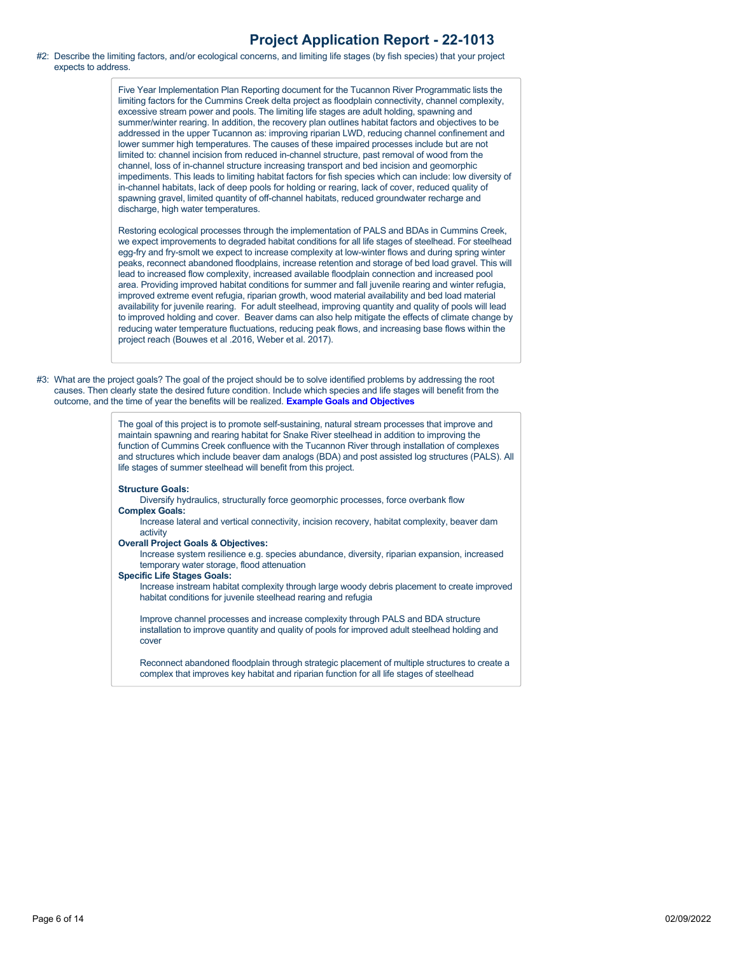#### #2: Describe the limiting factors, and/or ecological concerns, and limiting life stages (by fish species) that your project expects to address.

Five Year Implementation Plan Reporting document for the Tucannon River Programmatic lists the limiting factors for the Cummins Creek delta project as floodplain connectivity, channel complexity, excessive stream power and pools. The limiting life stages are adult holding, spawning and summer/winter rearing. In addition, the recovery plan outlines habitat factors and objectives to be addressed in the upper Tucannon as: improving riparian LWD, reducing channel confinement and lower summer high temperatures. The causes of these impaired processes include but are not limited to: channel incision from reduced in-channel structure, past removal of wood from the channel, loss of in-channel structure increasing transport and bed incision and geomorphic impediments. This leads to limiting habitat factors for fish species which can include: low diversity of in-channel habitats, lack of deep pools for holding or rearing, lack of cover, reduced quality of spawning gravel, limited quantity of off-channel habitats, reduced groundwater recharge and discharge, high water temperatures.

Restoring ecological processes through the implementation of PALS and BDAs in Cummins Creek, we expect improvements to degraded habitat conditions for all life stages of steelhead. For steelhead egg-fry and fry-smolt we expect to increase complexity at low-winter flows and during spring winter peaks, reconnect abandoned floodplains, increase retention and storage of bed load gravel. This will lead to increased flow complexity, increased available floodplain connection and increased pool area. Providing improved habitat conditions for summer and fall juvenile rearing and winter refugia, improved extreme event refugia, riparian growth, wood material availability and bed load material availability for juvenile rearing. For adult steelhead, improving quantity and quality of pools will lead to improved holding and cover. Beaver dams can also help mitigate the effects of climate change by reducing water temperature fluctuations, reducing peak flows, and increasing base flows within the project reach (Bouwes et al .2016, Weber et al. 2017).

#3: What are the project goals? The goal of the project should be to solve identified problems by addressing the root causes. Then clearly state the desired future condition. Include which species and life stages will benefit from the outcome, and the time of year the benefits will be realized. **[Example Goals and Objectives](https://rco.wa.gov/wp-content/uploads/2020/02/SRFB-Goals-and-Objectives-Examples.docx)**

> The goal of this project is to promote self-sustaining, natural stream processes that improve and maintain spawning and rearing habitat for Snake River steelhead in addition to improving the function of Cummins Creek confluence with the Tucannon River through installation of complexes and structures which include beaver dam analogs (BDA) and post assisted log structures (PALS). All life stages of summer steelhead will benefit from this project.

#### **Structure Goals:**

Diversify hydraulics, structurally force geomorphic processes, force overbank flow **Complex Goals:** 

Increase lateral and vertical connectivity, incision recovery, habitat complexity, beaver dam activity

**Overall Project Goals & Objectives:** 

Increase system resilience e.g. species abundance, diversity, riparian expansion, increased temporary water storage, flood attenuation

**Specific Life Stages Goals:** 

Increase instream habitat complexity through large woody debris placement to create improved habitat conditions for juvenile steelhead rearing and refugia

Improve channel processes and increase complexity through PALS and BDA structure installation to improve quantity and quality of pools for improved adult steelhead holding and cover

Reconnect abandoned floodplain through strategic placement of multiple structures to create a complex that improves key habitat and riparian function for all life stages of steelhead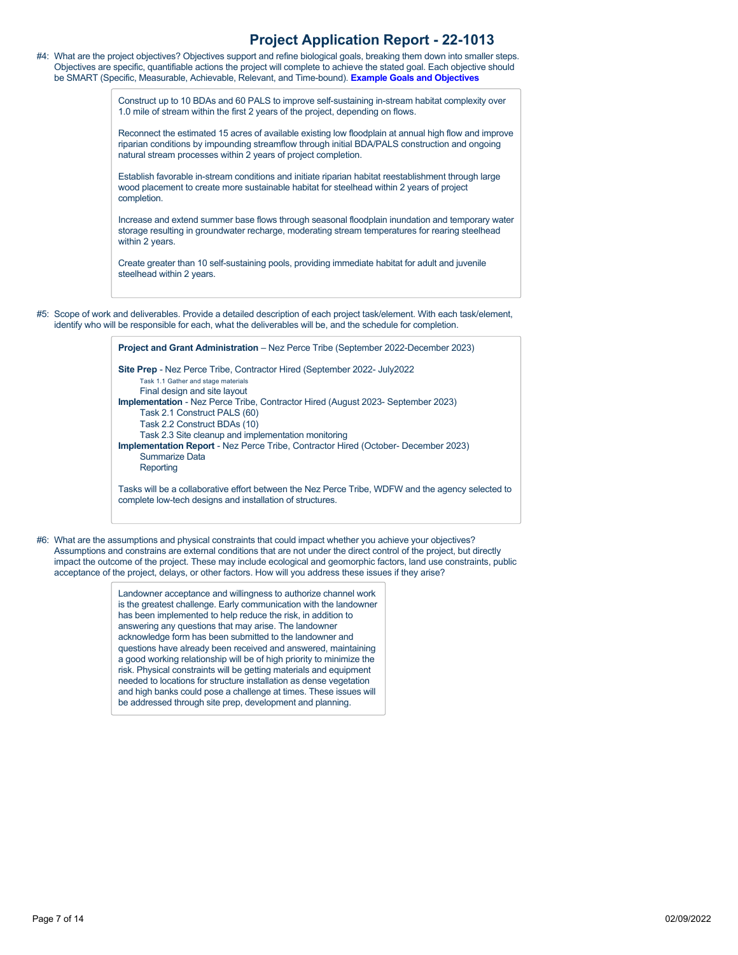#4: What are the project objectives? Objectives support and refine biological goals, breaking them down into smaller steps. Objectives are specific, quantifiable actions the project will complete to achieve the stated goal. Each objective should be SMART (Specific, Measurable, Achievable, Relevant, and Time-bound). **[Example Goals and Objectives](https://rco.wa.gov/wp-content/uploads/2020/02/SRFB-Goals-and-Objectives-Examples.docx)**

> Construct up to 10 BDAs and 60 PALS to improve self-sustaining in-stream habitat complexity over 1.0 mile of stream within the first 2 years of the project, depending on flows.

Reconnect the estimated 15 acres of available existing low floodplain at annual high flow and improve riparian conditions by impounding streamflow through initial BDA/PALS construction and ongoing natural stream processes within 2 years of project completion.

Establish favorable in-stream conditions and initiate riparian habitat reestablishment through large wood placement to create more sustainable habitat for steelhead within 2 years of project completion.

Increase and extend summer base flows through seasonal floodplain inundation and temporary water storage resulting in groundwater recharge, moderating stream temperatures for rearing steelhead within 2 years.

Create greater than 10 self-sustaining pools, providing immediate habitat for adult and juvenile steelhead within 2 years.

#5: Scope of work and deliverables. Provide a detailed description of each project task/element. With each task/element, identify who will be responsible for each, what the deliverables will be, and the schedule for completion.

> **Site Prep** - Nez Perce Tribe, Contractor Hired (September 2022- July2022 Task 1.1 Gather and stage materials Final design and site layout **Implementation** - Nez Perce Tribe, Contractor Hired (August 2023- September 2023) Task 2.1 Construct PALS (60) Task 2.2 Construct BDAs (10) Task 2.3 Site cleanup and implementation monitoring **Implementation Report** - Nez Perce Tribe, Contractor Hired (October- December 2023) Summarize Data **Reporting**

**Project and Grant Administration** – Nez Perce Tribe (September 2022-December 2023)

Tasks will be a collaborative effort between the Nez Perce Tribe, WDFW and the agency selected to complete low-tech designs and installation of structures.

#6: What are the assumptions and physical constraints that could impact whether you achieve your objectives? Assumptions and constrains are external conditions that are not under the direct control of the project, but directly impact the outcome of the project. These may include ecological and geomorphic factors, land use constraints, public acceptance of the project, delays, or other factors. How will you address these issues if they arise?

> Landowner acceptance and willingness to authorize channel work is the greatest challenge. Early communication with the landowner has been implemented to help reduce the risk, in addition to answering any questions that may arise. The landowner acknowledge form has been submitted to the landowner and questions have already been received and answered, maintaining a good working relationship will be of high priority to minimize the risk. Physical constraints will be getting materials and equipment needed to locations for structure installation as dense vegetation and high banks could pose a challenge at times. These issues will be addressed through site prep, development and planning.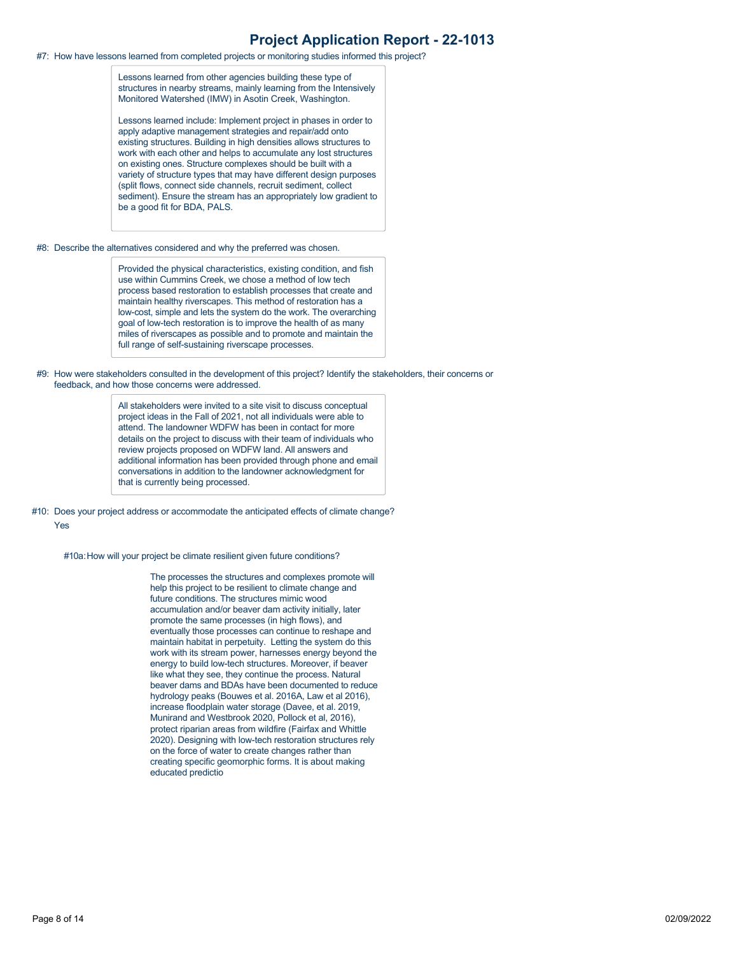#7: How have lessons learned from completed projects or monitoring studies informed this project?

Lessons learned from other agencies building these type of structures in nearby streams, mainly learning from the Intensively Monitored Watershed (IMW) in Asotin Creek, Washington.

Lessons learned include: Implement project in phases in order to apply adaptive management strategies and repair/add onto existing structures. Building in high densities allows structures to work with each other and helps to accumulate any lost structures on existing ones. Structure complexes should be built with a variety of structure types that may have different design purposes (split flows, connect side channels, recruit sediment, collect sediment). Ensure the stream has an appropriately low gradient to be a good fit for BDA, PALS.

#8: Describe the alternatives considered and why the preferred was chosen.

Provided the physical characteristics, existing condition, and fish use within Cummins Creek, we chose a method of low tech process based restoration to establish processes that create and maintain healthy riverscapes. This method of restoration has a low-cost, simple and lets the system do the work. The overarching goal of low-tech restoration is to improve the health of as many miles of riverscapes as possible and to promote and maintain the full range of self-sustaining riverscape processes.

#9: How were stakeholders consulted in the development of this project? Identify the stakeholders, their concerns or feedback, and how those concerns were addressed.

> All stakeholders were invited to a site visit to discuss conceptual project ideas in the Fall of 2021, not all individuals were able to attend. The landowner WDFW has been in contact for more details on the project to discuss with their team of individuals who review projects proposed on WDFW land. All answers and additional information has been provided through phone and email conversations in addition to the landowner acknowledgment for that is currently being processed.

#10: Does your project address or accommodate the anticipated effects of climate change? Yes

#10a:How will your project be climate resilient given future conditions?

The processes the structures and complexes promote will help this project to be resilient to climate change and future conditions. The structures mimic wood accumulation and/or beaver dam activity initially, later promote the same processes (in high flows), and eventually those processes can continue to reshape and maintain habitat in perpetuity. Letting the system do this work with its stream power, harnesses energy beyond the energy to build low-tech structures. Moreover, if beaver like what they see, they continue the process. Natural beaver dams and BDAs have been documented to reduce hydrology peaks (Bouwes et al. 2016A, Law et al 2016), increase floodplain water storage (Davee, et al. 2019, Munirand and Westbrook 2020, Pollock et al, 2016), protect riparian areas from wildfire (Fairfax and Whittle 2020). Designing with low-tech restoration structures rely on the force of water to create changes rather than creating specific geomorphic forms. It is about making educated predictio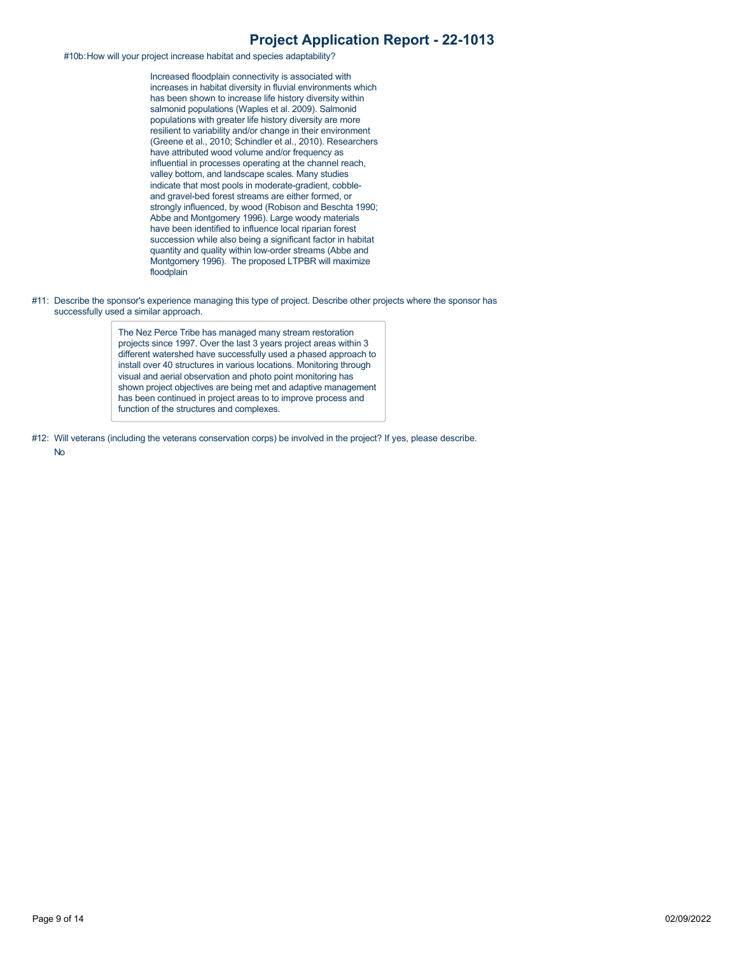#10b:How will your project increase habitat and species adaptability?

Increased floodplain connectivity is associated with increases in habitat diversity in fluvial environments which has been shown to increase life history diversity within salmonid populations (Waples et al. 2009). Salmonid populations with greater life history diversity are more resilient to variability and/or change in their environment (Greene et al., 2010; Schindler et al., 2010). Researchers have attributed wood volume and/or frequency as influential in processes operating at the channel reach, valley bottom, and landscape scales. Many studies indicate that most pools in moderate-gradient, cobbleand gravel-bed forest streams are either formed, or strongly influenced, by wood (Robison and Beschta 1990; Abbe and Montgomery 1996). Large woody materials have been identified to influence local riparian forest succession while also being a significant factor in habitat quantity and quality within low-order streams (Abbe and Montgomery 1996). The proposed LTPBR will maximize floodplain

#11: Describe the sponsor's experience managing this type of project. Describe other projects where the sponsor has successfully used a similar approach.

> The Nez Perce Tribe has managed many stream restoration projects since 1997. Over the last 3 years project areas within 3 different watershed have successfully used a phased approach to install over 40 structures in various locations. Monitoring through visual and aerial observation and photo point monitoring has shown project objectives are being met and adaptive management has been continued in project areas to to improve process and function of the structures and complexes.

#12: Will veterans (including the veterans conservation corps) be involved in the project? If yes, please describe.

No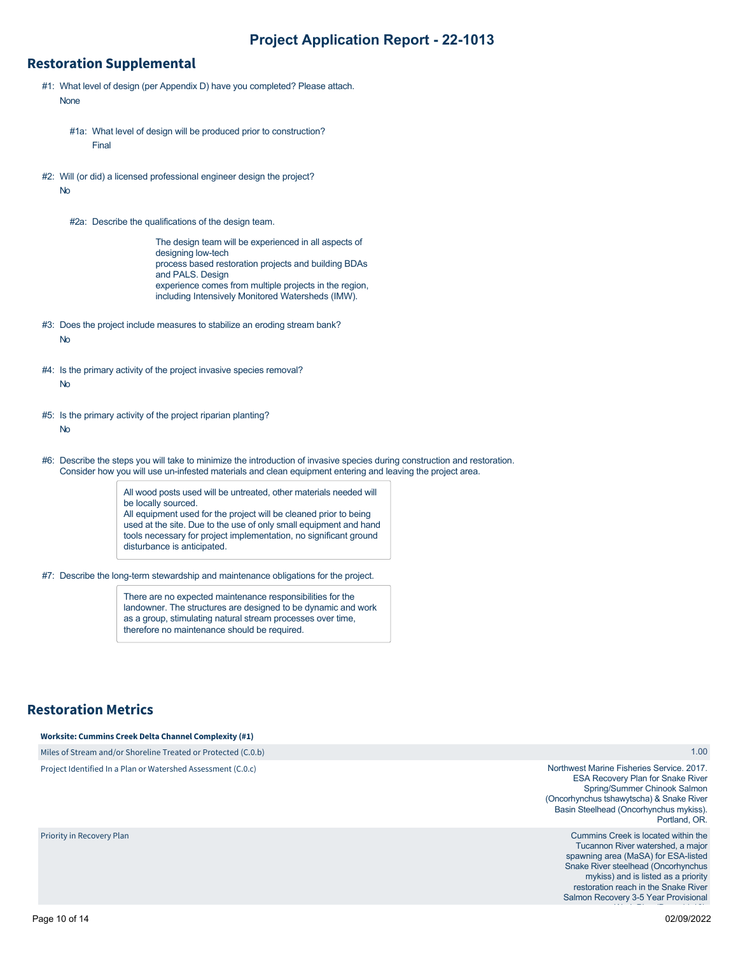### **Restoration Supplemental**

- #1: What level of design (per Appendix D) have you completed? Please attach. None
	- #1a: What level of design will be produced prior to construction? Final
- #2: Will (or did) a licensed professional engineer design the project? No
	- #2a: Describe the qualifications of the design team.

The design team will be experienced in all aspects of designing low-tech process based restoration projects and building BDAs and PALS. Design experience comes from multiple projects in the region, including Intensively Monitored Watersheds (IMW).

- #3: Does the project include measures to stabilize an eroding stream bank? No
- #4: Is the primary activity of the project invasive species removal? No
- #5: Is the primary activity of the project riparian planting? No
- #6: Describe the steps you will take to minimize the introduction of invasive species during construction and restoration. Consider how you will use un-infested materials and clean equipment entering and leaving the project area.

All wood posts used will be untreated, other materials needed will be locally sourced. All equipment used for the project will be cleaned prior to being used at the site. Due to the use of only small equipment and hand tools necessary for project implementation, no significant ground disturbance is anticipated.

#7: Describe the long-term stewardship and maintenance obligations for the project.

There are no expected maintenance responsibilities for the landowner. The structures are designed to be dynamic and work as a group, stimulating natural stream processes over time, therefore no maintenance should be required.

## **Restoration Metrics**

Priority in Recovery Plan

**Worksite: Cummins Creek Delta Channel Complexity (#1)**

Miles of Stream and/or Shoreline Treated or Protected (C.0.b) Project Identified In a Plan or Watershed Assessment (C.0.c)

Northwest Marine Fisheries Service. 2017. ESA Recovery Plan for Snake River Spring/Summer Chinook Salmon (Oncorhynchus tshawytscha) & Snake River Basin Steelhead (Oncorhynchus mykiss). Portland, OR.

> Cummins Creek is located within the Tucannon River watershed, a major spawning area (MaSA) for ESA-listed Snake River steelhead (Oncorhynchus mykiss) and is listed as a priority restoration reach in the Snake River Salmon Recovery 3-5 Year Provisional

1.00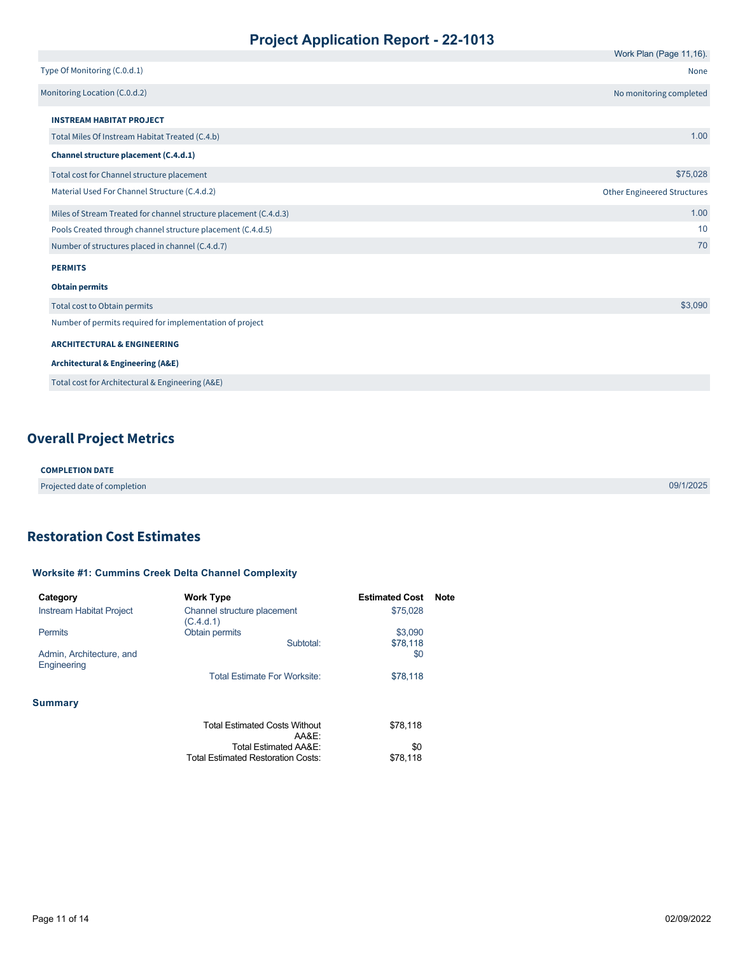|                                                                   | Work Plan (Page 11,16).            |
|-------------------------------------------------------------------|------------------------------------|
| Type Of Monitoring (C.0.d.1)                                      | None                               |
| Monitoring Location (C.0.d.2)                                     | No monitoring completed            |
| <b>INSTREAM HABITAT PROJECT</b>                                   |                                    |
| Total Miles Of Instream Habitat Treated (C.4.b)                   | 1.00                               |
| Channel structure placement (C.4.d.1)                             |                                    |
| Total cost for Channel structure placement                        | \$75,028                           |
| Material Used For Channel Structure (C.4.d.2)                     | <b>Other Engineered Structures</b> |
| Miles of Stream Treated for channel structure placement (C.4.d.3) | 1.00                               |
| Pools Created through channel structure placement (C.4.d.5)       | 10                                 |
| Number of structures placed in channel (C.4.d.7)                  | 70                                 |
| <b>PERMITS</b>                                                    |                                    |
| <b>Obtain permits</b>                                             |                                    |
| Total cost to Obtain permits                                      | \$3,090                            |
| Number of permits required for implementation of project          |                                    |
| <b>ARCHITECTURAL &amp; ENGINEERING</b>                            |                                    |
| <b>Architectural &amp; Engineering (A&amp;E)</b>                  |                                    |
| Total cost for Architectural & Engineering (A&E)                  |                                    |

# **Overall Project Metrics**

| <b>COMPLETION DATE</b>       |           |
|------------------------------|-----------|
| Projected date of completion | 09/1/2025 |

## <span id="page-10-0"></span>**Restoration Cost Estimates**

### **Worksite #1: Cummins Creek Delta Channel Complexity**

| Category                                | <b>Work Type</b>                              | <b>Estimated Cost</b> | <b>Note</b> |
|-----------------------------------------|-----------------------------------------------|-----------------------|-------------|
| Instream Habitat Project                | Channel structure placement<br>(C.4.d.1)      | \$75,028              |             |
| <b>Permits</b>                          | Obtain permits                                | \$3,090               |             |
|                                         | Subtotal:                                     | \$78,118              |             |
| Admin, Architecture, and<br>Engineering |                                               | \$0                   |             |
|                                         | <b>Total Estimate For Worksite:</b>           | \$78,118              |             |
| <b>Summary</b>                          |                                               |                       |             |
|                                         | <b>Total Estimated Costs Without</b><br>AA&E: | \$78,118              |             |
|                                         | <b>Total Estimated AA&amp;E:</b>              | \$0                   |             |
|                                         | <b>Total Estimated Restoration Costs:</b>     | \$78,118              |             |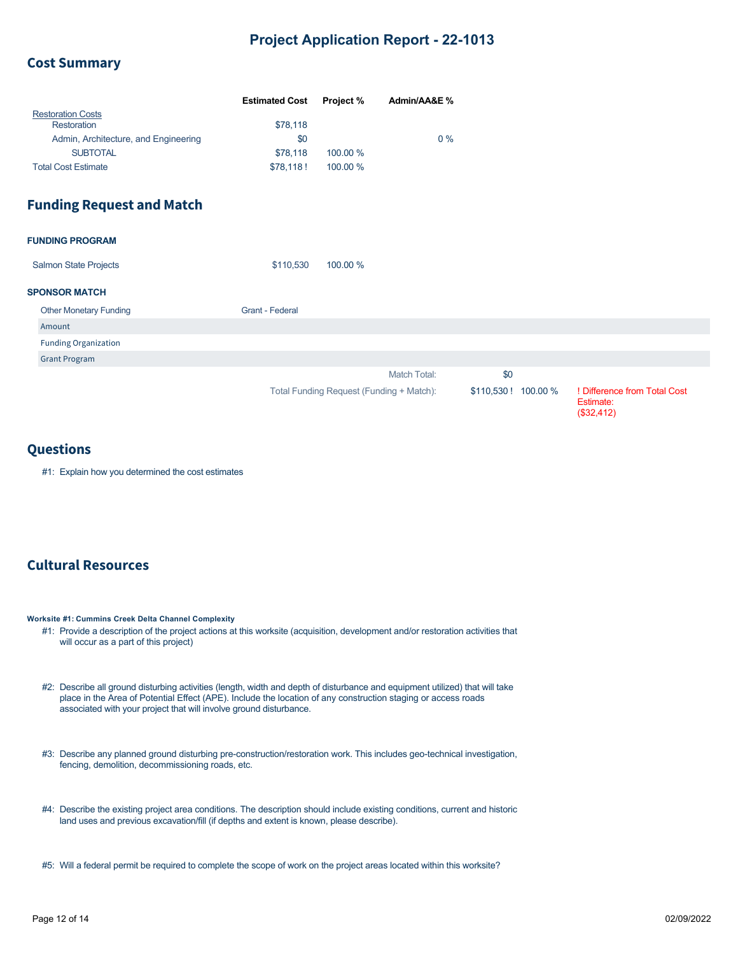### **Cost Summary**

|                                      | <b>Estimated Cost</b> | <b>Project %</b> | Admin/AA&E % |
|--------------------------------------|-----------------------|------------------|--------------|
| <b>Restoration Costs</b>             |                       |                  |              |
| Restoration                          | \$78,118              |                  |              |
| Admin, Architecture, and Engineering | \$0                   |                  | $0\%$        |
| <b>SUBTOTAL</b>                      | \$78,118              | 100.00 %         |              |
| <b>Total Cost Estimate</b>           | \$78.118!             | 100.00 %         |              |

### **Funding Request and Match**

| <b>FUNDING PROGRAM</b> |
|------------------------|
|------------------------|

| <b>Salmon State Projects</b> | \$110.530 | 100.00 % |
|------------------------------|-----------|----------|
|                              |           |          |

#### **SPONSOR MATCH**

| <b>Other Monetary Funding</b> | Grant - Federal                          |                      |                              |
|-------------------------------|------------------------------------------|----------------------|------------------------------|
| Amount                        |                                          |                      |                              |
| <b>Funding Organization</b>   |                                          |                      |                              |
| <b>Grant Program</b>          |                                          |                      |                              |
|                               | Match Total:                             | \$0                  |                              |
|                               | Total Funding Request (Funding + Match): | \$110,530 ! 100.00 % | ! Difference from Total Cost |

### **Questions**

#1: Explain how you determined the cost estimates

## **Cultural Resources**

**Worksite #1: Cummins Creek Delta Channel Complexity**

- #1: Provide a description of the project actions at this worksite (acquisition, development and/or restoration activities that will occur as a part of this project)
- #2: Describe all ground disturbing activities (length, width and depth of disturbance and equipment utilized) that will take place in the Area of Potential Effect (APE). Include the location of any construction staging or access roads associated with your project that will involve ground disturbance.
- #3: Describe any planned ground disturbing pre-construction/restoration work. This includes geo-technical investigation, fencing, demolition, decommissioning roads, etc.
- #4: Describe the existing project area conditions. The description should include existing conditions, current and historic land uses and previous excavation/fill (if depths and extent is known, please describe).
- #5: Will a federal permit be required to complete the scope of work on the project areas located within this worksite?

Estimate: (\$32,412)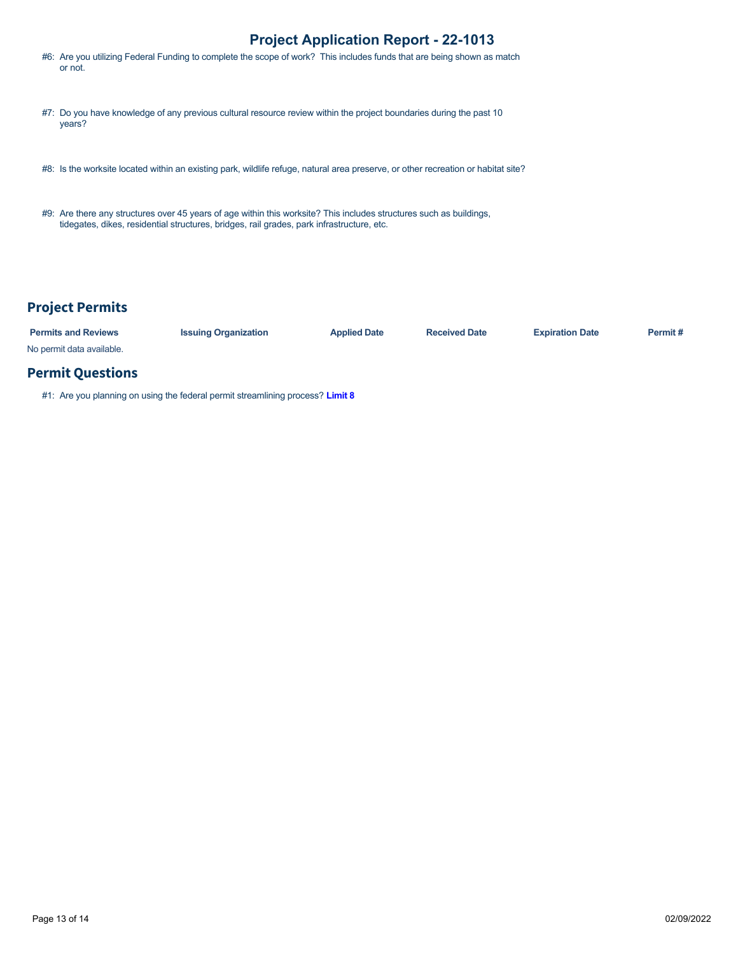- #6: Are you utilizing Federal Funding to complete the scope of work? This includes funds that are being shown as match or not.
- #7: Do you have knowledge of any previous cultural resource review within the project boundaries during the past 10 years?
- #8: Is the worksite located within an existing park, wildlife refuge, natural area preserve, or other recreation or habitat site?
- #9: Are there any structures over 45 years of age within this worksite? This includes structures such as buildings, tidegates, dikes, residential structures, bridges, rail grades, park infrastructure, etc.

# **Project Permits**

| <b>Permits and Reviews</b> | <b>Issuing Organization</b> | <b>Applied Date</b> | <b>Received Date</b> | <b>Expiration Date</b> | Permit # |
|----------------------------|-----------------------------|---------------------|----------------------|------------------------|----------|
| No permit data available.  |                             |                     |                      |                        |          |

## **Permit Questions**

#1: Are you planning on using the federal permit streamlining process? **[Limit 8](https://rco.wa.gov/wp-content/uploads/2019/10/SAL-PermitStreamFactSheet.pdf)**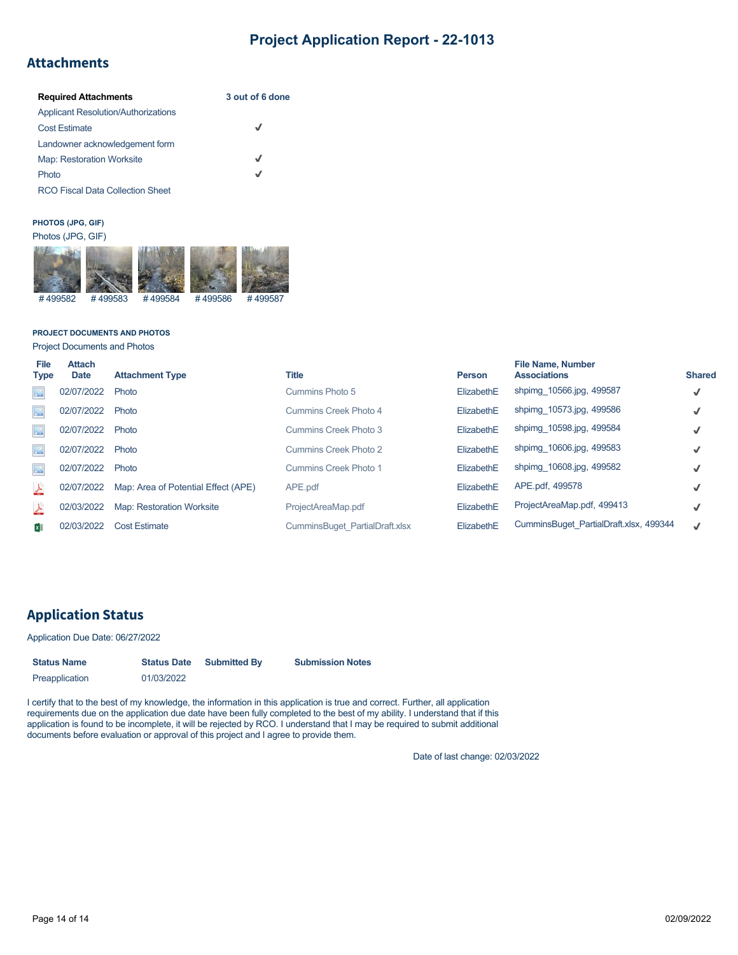# **Attachments**

| <b>Required Attachments</b>                | 3 out of 6 done |
|--------------------------------------------|-----------------|
| <b>Applicant Resolution/Authorizations</b> |                 |
| <b>Cost Estimate</b>                       | ┙               |
| Landowner acknowledgement form             |                 |
| <b>Map: Restoration Worksite</b>           | $\checkmark$    |
| Photo                                      | J               |
| <b>RCO Fiscal Data Collection Sheet</b>    |                 |

### **PHOTOS (JPG, GIF)**



#### **PROJECT DOCUMENTS AND PHOTOS**

Project Documents and Photos

| File<br><b>Type</b>         | <b>Attach</b><br><b>Date</b> | <b>Attachment Type</b>              | <b>Title</b>                   | <b>Person</b> | <b>File Name, Number</b><br><b>Associations</b> | <b>Shared</b> |
|-----------------------------|------------------------------|-------------------------------------|--------------------------------|---------------|-------------------------------------------------|---------------|
| $\Delta^0$                  | 02/07/2022                   | Photo                               | Cummins Photo 5                | ElizabethE    | shpimg 10566.jpg, 499587                        | $\checkmark$  |
| $\frac{1}{2}$               | 02/07/2022                   | Photo                               | Cummins Creek Photo 4          | ElizabethE    | shpimg 10573.jpg, 499586                        | √             |
| $\Delta^0$                  | 02/07/2022                   | Photo                               | Cummins Creek Photo 3          | ElizabethE    | shpimg 10598.jpg, 499584                        | √             |
| $\frac{1}{2}$               | 02/07/2022                   | Photo                               | Cummins Creek Photo 2          | ElizabethE    | shpimg 10606.jpg, 499583                        | √             |
| $\lambda^{\circ}_{\lambda}$ | 02/07/2022                   | Photo                               | Cummins Creek Photo 1          | ElizabethE    | shpimg 10608.jpg, 499582                        | √             |
| <b>A</b>                    | 02/07/2022                   | Map: Area of Potential Effect (APE) | APE.pdf                        | ElizabethE    | APE.pdf, 499578                                 | √             |
| <b>A</b>                    | 02/03/2022                   | Map: Restoration Worksite           | ProjectAreaMap.pdf             | ElizabethE    | ProjectAreaMap.pdf, 499413                      | √             |
| × ∏                         | 02/03/2022                   | <b>Cost Estimate</b>                | CumminsBuget PartialDraft.xlsx | ElizabethE    | CumminsBuget PartialDraft.xlsx, 499344          | J             |

## **Application Status**

### Application Due Date: 06/27/2022

| <b>Status Name</b> | <b>Status Date</b> | <b>Submitted By</b> | <b>Submission Notes</b> |
|--------------------|--------------------|---------------------|-------------------------|
| Preapplication     | 01/03/2022         |                     |                         |

I certify that to the best of my knowledge, the information in this application is true and correct. Further, all application requirements due on the application due date have been fully completed to the best of my ability. I understand that if this application is found to be incomplete, it will be rejected by RCO. I understand that I may be required to submit additional documents before evaluation or approval of this project and I agree to provide them.

Date of last change: 02/03/2022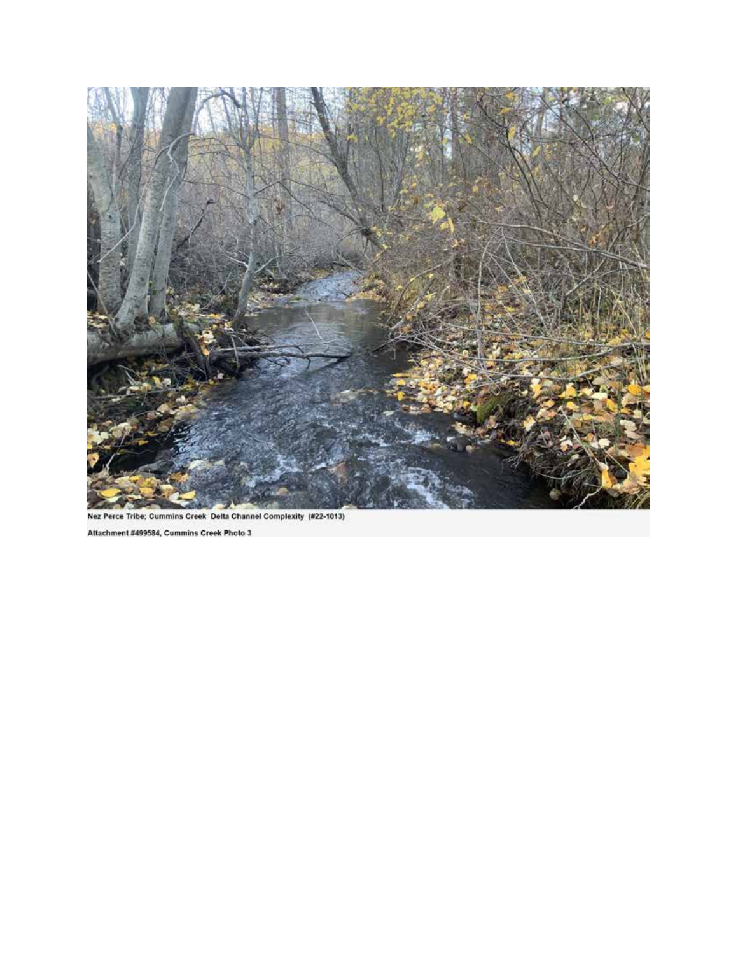

Nez Perce Tribe; Cummins Creek Delta Channel Complexity (#22-1013)

Attachment #499584, Cummins Creek Photo 3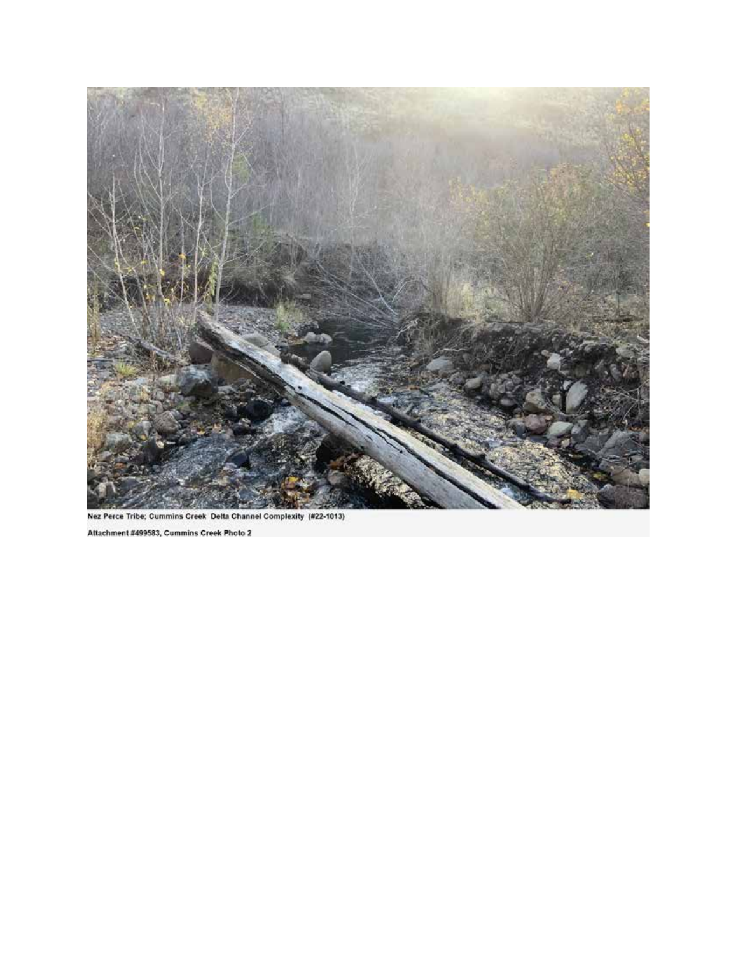

Nez Perce Tribe; Cummins Creek Delta Channel Complexity (#22-1013)

Attachment #499583, Cummins Creek Photo 2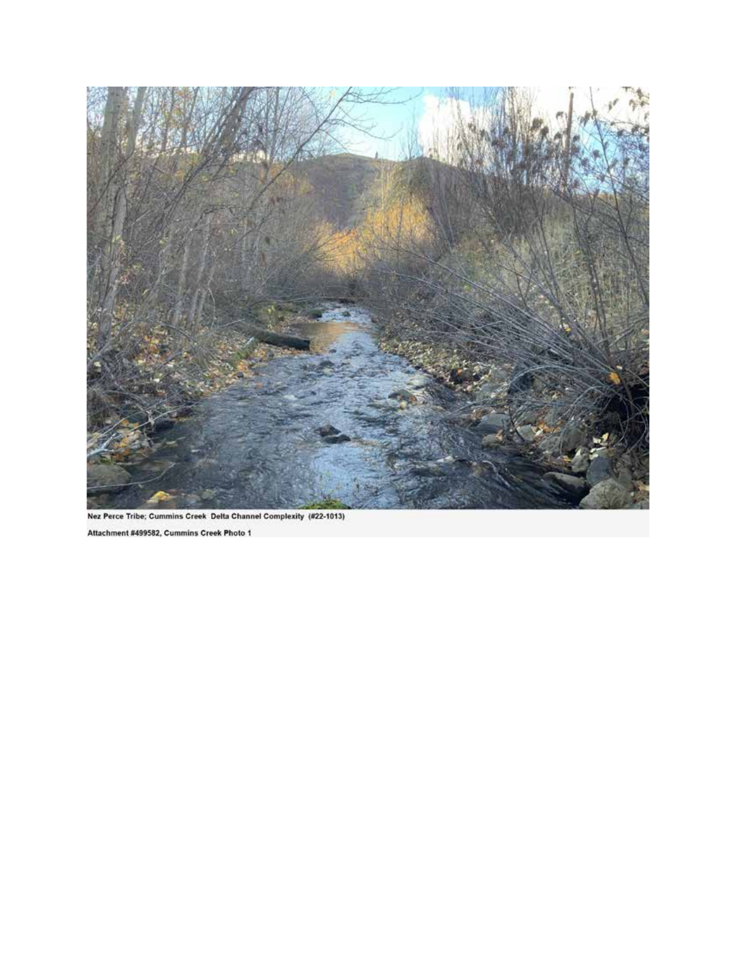

Nez Perce Tribe; Cummins Creek Delta Channel Complexity (#22-1013)

Attachment #499582, Cummins Creek Photo 1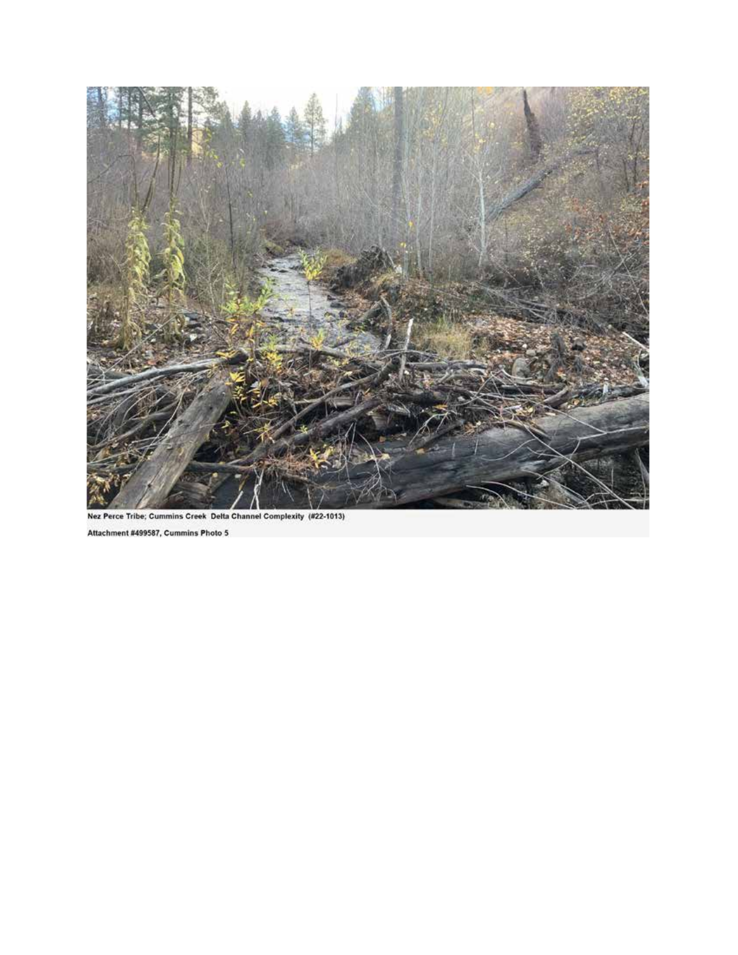

Nez Perce Tribe; Cummins Creek Delta Channel Complexity (#22-1013)

Attachment #499587, Cummins Photo 5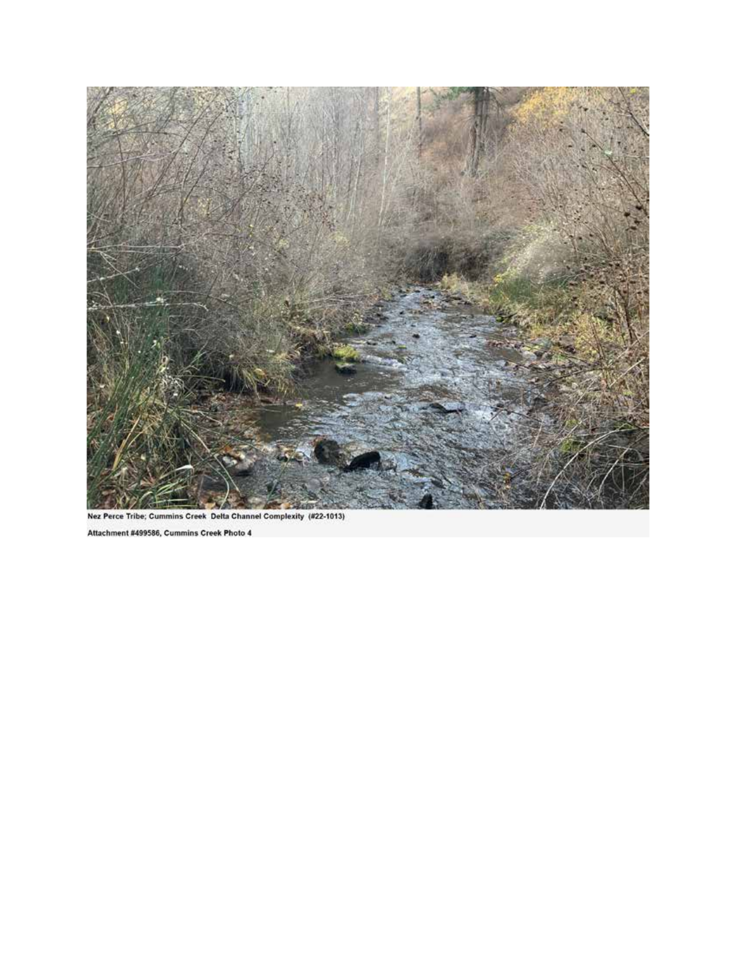

Nez Perce Tribe; Cummins Creek Delta Channel Complexity (#22-1013)

Attachment #499586, Cummins Creek Photo 4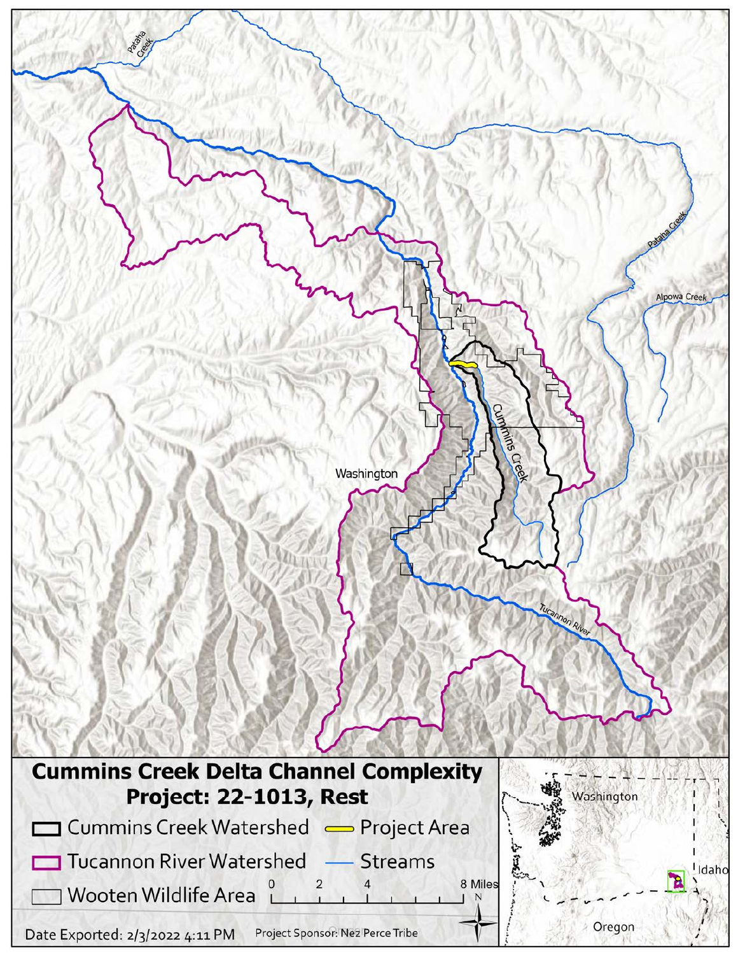